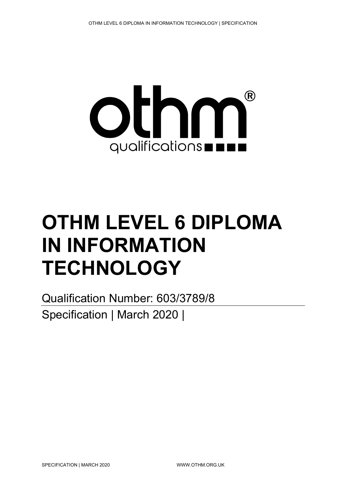

# **OTHM LEVEL 6 DIPLOMA IN INFORMATION TECHNOLOGY**

Qualification Number: 603/3789/8 Specification | March 2020 |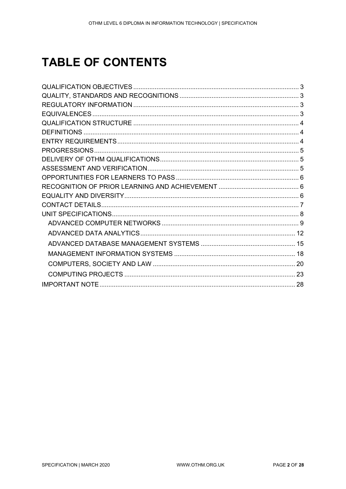## **TABLE OF CONTENTS**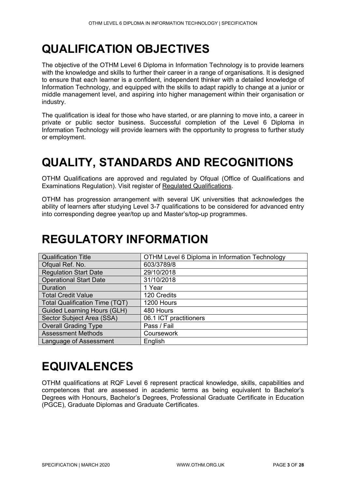## <span id="page-2-0"></span>**QUALIFICATION OBJECTIVES**

The objective of the OTHM Level 6 Diploma in Information Technology is to provide learners with the knowledge and skills to further their career in a range of organisations. It is designed to ensure that each learner is a confident, independent thinker with a detailed knowledge of Information Technology, and equipped with the skills to adapt rapidly to change at a junior or middle management level, and aspiring into higher management within their organisation or industry.

The qualification is ideal for those who have started, or are planning to move into, a career in private or public sector business. Successful completion of the Level 6 Diploma in Information Technology will provide learners with the opportunity to progress to further study or employment.

## <span id="page-2-1"></span>**QUALITY, STANDARDS AND RECOGNITIONS**

OTHM Qualifications are approved and regulated by Ofqual (Office of Qualifications and Examinations Regulation). Visit register of [Regulated Qualifications.](http://register.ofqual.gov.uk/)

OTHM has progression arrangement with several UK universities that acknowledges the ability of learners after studying Level 3-7 qualifications to be considered for advanced entry into corresponding degree year/top up and Master's/top-up programmes.

## <span id="page-2-2"></span>**REGULATORY INFORMATION**

| <b>Qualification Title</b>            | OTHM Level 6 Diploma in Information Technology |
|---------------------------------------|------------------------------------------------|
| Ofqual Ref. No.                       | 603/3789/8                                     |
| <b>Regulation Start Date</b>          | 29/10/2018                                     |
| <b>Operational Start Date</b>         | 31/10/2018                                     |
| Duration                              | 1 Year                                         |
| <b>Total Credit Value</b>             | 120 Credits                                    |
| <b>Total Qualification Time (TQT)</b> | 1200 Hours                                     |
| <b>Guided Learning Hours (GLH)</b>    | 480 Hours                                      |
| Sector Subject Area (SSA)             | 06.1 ICT practitioners                         |
| <b>Overall Grading Type</b>           | Pass / Fail                                    |
| <b>Assessment Methods</b>             | Coursework                                     |
| Language of Assessment                | English                                        |

## <span id="page-2-3"></span>**EQUIVALENCES**

OTHM qualifications at RQF Level 6 represent practical knowledge, skills, capabilities and competences that are assessed in academic terms as being equivalent to Bachelor's Degrees with Honours, Bachelor's Degrees, Professional Graduate Certificate in Education (PGCE), Graduate Diplomas and Graduate Certificates.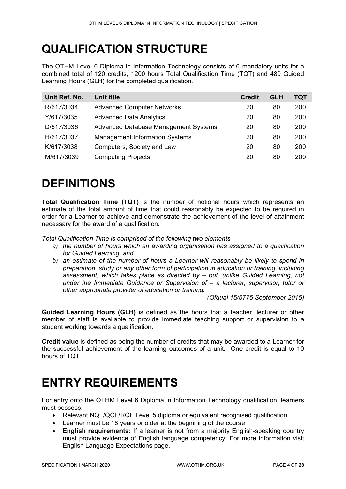## <span id="page-3-0"></span>**QUALIFICATION STRUCTURE**

The OTHM Level 6 Diploma in Information Technology consists of 6 mandatory units for a combined total of 120 credits, 1200 hours Total Qualification Time (TQT) and 480 Guided Learning Hours (GLH) for the completed qualification.

| Unit Ref. No. | <b>Unit title</b>                     | <b>Credit</b> | <b>GLH</b> | TQT |
|---------------|---------------------------------------|---------------|------------|-----|
| R/617/3034    | <b>Advanced Computer Networks</b>     | 20            | 80         | 200 |
| Y/617/3035    | <b>Advanced Data Analytics</b>        | 20            | 80         | 200 |
| D/617/3036    | Advanced Database Management Systems  | 20            | 80         | 200 |
| H/617/3037    | <b>Management Information Systems</b> | 20            | 80         | 200 |
| K/617/3038    | Computers, Society and Law            | 20            | 80         | 200 |
| M/617/3039    | <b>Computing Projects</b>             | 20            | 80         | 200 |

## <span id="page-3-1"></span>**DEFINITIONS**

**Total Qualification Time (TQT)** is the number of notional hours which represents an estimate of the total amount of time that could reasonably be expected to be required in order for a Learner to achieve and demonstrate the achievement of the level of attainment necessary for the award of a qualification.

*Total Qualification Time is comprised of the following two elements –*

- *a) the number of hours which an awarding organisation has assigned to a qualification for Guided Learning, and*
- *b) an estimate of the number of hours a Learner will reasonably be likely to spend in preparation, study or any other form of participation in education or training, including assessment, which takes place as directed by – but, unlike Guided Learning, not under the Immediate Guidance or Supervision of – a lecturer, supervisor, tutor or other appropriate provider of education or training.*

*(Ofqual 15/5775 September 2015)*

**Guided Learning Hours (GLH)** is defined as the hours that a teacher, lecturer or other member of staff is available to provide immediate teaching support or supervision to a student working towards a qualification.

**Credit value** is defined as being the number of credits that may be awarded to a Learner for the successful achievement of the learning outcomes of a unit. One credit is equal to 10 hours of TQT.

## <span id="page-3-2"></span>**ENTRY REQUIREMENTS**

For entry onto the OTHM Level 6 Diploma in Information Technology qualification, learners must possess:

- Relevant NQF/QCF/RQF Level 5 diploma or equivalent recognised qualification
- Learner must be 18 years or older at the beginning of the course
- **English requirements:** If a learner is not from a majority English-speaking country must provide evidence of English language competency. For more information visit [English Language Expectations](http://othm.org.uk/english-language.html) page.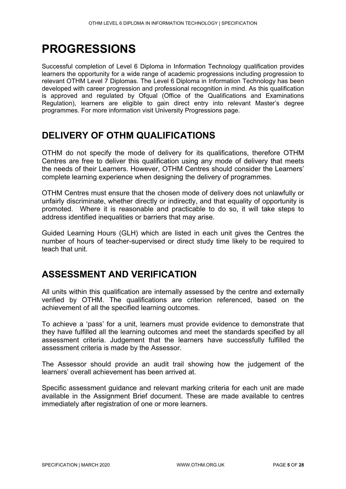## <span id="page-4-0"></span>**PROGRESSIONS**

Successful completion of Level 6 Diploma in Information Technology qualification provides learners the opportunity for a wide range of academic progressions including progression to relevant OTHM Level 7 Diplomas. The Level 6 Diploma in Information Technology has been developed with career progression and professional recognition in mind. As this qualification is approved and regulated by Ofqual (Office of the Qualifications and Examinations Regulation), learners are eligible to gain direct entry into relevant Master's degree programmes. For more information visit University Progressions page.

## <span id="page-4-1"></span>**DELIVERY OF OTHM QUALIFICATIONS**

OTHM do not specify the mode of delivery for its qualifications, therefore OTHM Centres are free to deliver this qualification using any mode of delivery that meets the needs of their Learners. However, OTHM Centres should consider the Learners' complete learning experience when designing the delivery of programmes.

OTHM Centres must ensure that the chosen mode of delivery does not unlawfully or unfairly discriminate, whether directly or indirectly, and that equality of opportunity is promoted. Where it is reasonable and practicable to do so, it will take steps to address identified inequalities or barriers that may arise.

Guided Learning Hours (GLH) which are listed in each unit gives the Centres the number of hours of teacher-supervised or direct study time likely to be required to teach that unit.

## <span id="page-4-2"></span>**ASSESSMENT AND VERIFICATION**

All units within this qualification are internally assessed by the centre and externally verified by OTHM. The qualifications are criterion referenced, based on the achievement of all the specified learning outcomes.

To achieve a 'pass' for a unit, learners must provide evidence to demonstrate that they have fulfilled all the learning outcomes and meet the standards specified by all assessment criteria. Judgement that the learners have successfully fulfilled the assessment criteria is made by the Assessor.

The Assessor should provide an audit trail showing how the judgement of the learners' overall achievement has been arrived at.

Specific assessment guidance and relevant marking criteria for each unit are made available in the Assignment Brief document. These are made available to centres immediately after registration of one or more learners.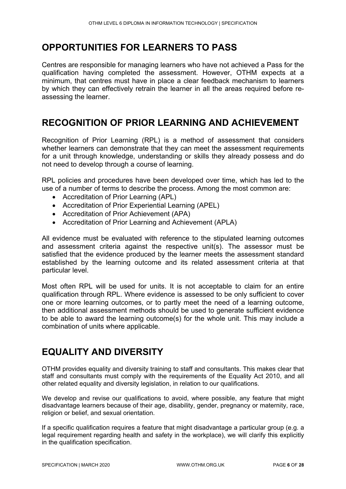## <span id="page-5-0"></span>**OPPORTUNITIES FOR LEARNERS TO PASS**

Centres are responsible for managing learners who have not achieved a Pass for the qualification having completed the assessment. However, OTHM expects at a minimum, that centres must have in place a clear feedback mechanism to learners by which they can effectively retrain the learner in all the areas required before reassessing the learner.

## <span id="page-5-1"></span>**RECOGNITION OF PRIOR LEARNING AND ACHIEVEMENT**

Recognition of Prior Learning (RPL) is a method of assessment that considers whether learners can demonstrate that they can meet the assessment requirements for a unit through knowledge, understanding or skills they already possess and do not need to develop through a course of learning.

RPL policies and procedures have been developed over time, which has led to the use of a number of terms to describe the process. Among the most common are:

- Accreditation of Prior Learning (APL)
- Accreditation of Prior Experiential Learning (APEL)
- Accreditation of Prior Achievement (APA)
- Accreditation of Prior Learning and Achievement (APLA)

All evidence must be evaluated with reference to the stipulated learning outcomes and assessment criteria against the respective unit(s). The assessor must be satisfied that the evidence produced by the learner meets the assessment standard established by the learning outcome and its related assessment criteria at that particular level.

Most often RPL will be used for units. It is not acceptable to claim for an entire qualification through RPL. Where evidence is assessed to be only sufficient to cover one or more learning outcomes, or to partly meet the need of a learning outcome, then additional assessment methods should be used to generate sufficient evidence to be able to award the learning outcome(s) for the whole unit. This may include a combination of units where applicable.

## <span id="page-5-2"></span>**EQUALITY AND DIVERSITY**

OTHM provides equality and diversity training to staff and consultants. This makes clear that staff and consultants must comply with the requirements of the Equality Act 2010, and all other related equality and diversity legislation, in relation to our qualifications.

We develop and revise our qualifications to avoid, where possible, any feature that might disadvantage learners because of their age, disability, gender, pregnancy or maternity, race, religion or belief, and sexual orientation.

If a specific qualification requires a feature that might disadvantage a particular group (e.g. a legal requirement regarding health and safety in the workplace), we will clarify this explicitly in the qualification specification.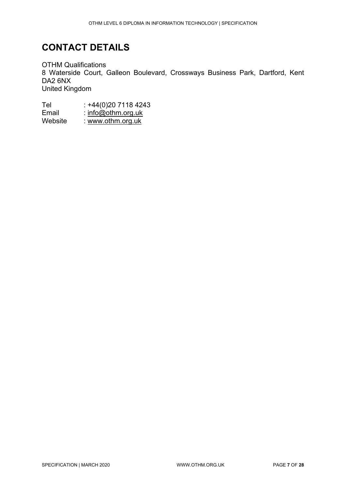## <span id="page-6-0"></span>**CONTACT DETAILS**

OTHM Qualifications 8 Waterside Court, Galleon Boulevard, Crossways Business Park, Dartford, Kent DA2 6NX United Kingdom

Tel : +44(0)20 7118 4243<br>Email : <u>info@othm.org.uk</u> Email : <u>info@othm.org.uk</u> Website : <u>www.othm.org.uk</u>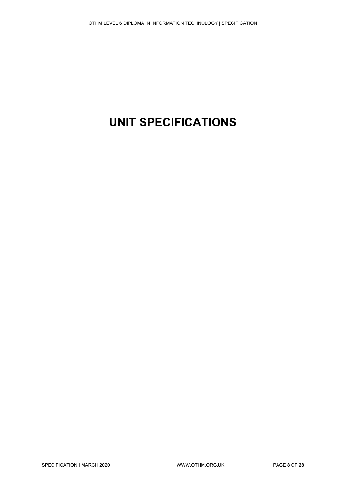## <span id="page-7-0"></span>**UNIT SPECIFICATIONS**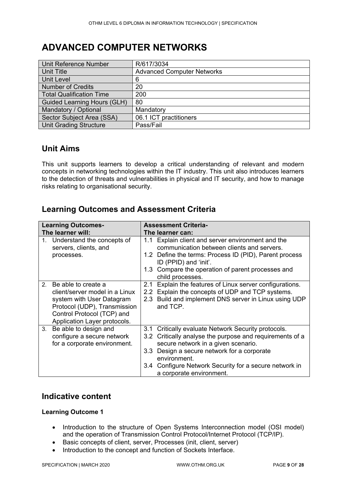## <span id="page-8-0"></span>**ADVANCED COMPUTER NETWORKS**

| Unit Reference Number              | R/617/3034                        |
|------------------------------------|-----------------------------------|
| <b>Unit Title</b>                  | <b>Advanced Computer Networks</b> |
| <b>Unit Level</b>                  | 6                                 |
| <b>Number of Credits</b>           | 20                                |
| <b>Total Qualification Time</b>    | 200                               |
| <b>Guided Learning Hours (GLH)</b> | 80                                |
| Mandatory / Optional               | Mandatory                         |
| Sector Subject Area (SSA)          | 06.1 ICT practitioners            |
| <b>Unit Grading Structure</b>      | Pass/Fail                         |

### **Unit Aims**

This unit supports learners to develop a critical understanding of relevant and modern concepts in networking technologies within the IT industry. This unit also introduces learners to the detection of threats and vulnerabilities in physical and IT security, and how to manage risks relating to organisational security.

### **Learning Outcomes and Assessment Criteria**

| <b>Learning Outcomes-</b>                                                                                                                                                                          | <b>Assessment Criteria-</b>                                                                                                                                                                                                                                                                                                       |  |
|----------------------------------------------------------------------------------------------------------------------------------------------------------------------------------------------------|-----------------------------------------------------------------------------------------------------------------------------------------------------------------------------------------------------------------------------------------------------------------------------------------------------------------------------------|--|
| The learner will:                                                                                                                                                                                  | The learner can:                                                                                                                                                                                                                                                                                                                  |  |
| 1. Understand the concepts of<br>servers, clients, and<br>processes.                                                                                                                               | 1.1 Explain client and server environment and the<br>communication between clients and servers.<br>1.2 Define the terms: Process ID (PID), Parent process<br>ID (PPID) and 'init'.<br>1.3 Compare the operation of parent processes and<br>child processes.                                                                       |  |
| Be able to create a<br>2 <sup>1</sup><br>client/server model in a Linux<br>system with User Datagram<br>Protocol (UDP), Transmission<br>Control Protocol (TCP) and<br>Application Layer protocols. | Explain the features of Linux server configurations.<br>2.1<br>2.2 Explain the concepts of UDP and TCP systems.<br>Build and implement DNS server in Linux using UDP<br>2.3<br>and TCP.                                                                                                                                           |  |
| Be able to design and<br>3 <sub>1</sub><br>configure a secure network<br>for a corporate environment.                                                                                              | 3.1 Critically evaluate Network Security protocols.<br>Critically analyse the purpose and requirements of a<br>3.2<br>secure network in a given scenario.<br>Design a secure network for a corporate<br>3.3 <sub>2</sub><br>environment.<br>Configure Network Security for a secure network in<br>3.4<br>a corporate environment. |  |

#### **Indicative content**

#### **Learning Outcome 1**

- Introduction to the structure of Open Systems Interconnection model (OSI model) and the operation of Transmission Control Protocol/Internet Protocol (TCP/IP).
- Basic concepts of client, server, Processes (init, client, server)
- Introduction to the concept and function of Sockets Interface.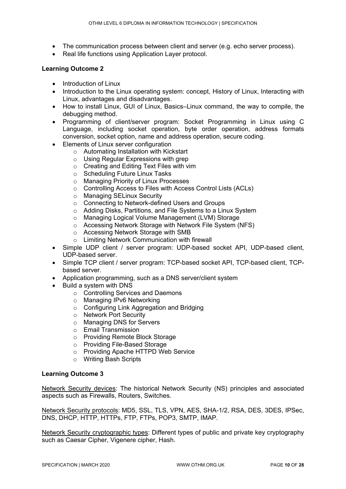- The communication process between client and server (e.g. echo server process).
- Real life functions using Application Layer protocol.

#### **Learning Outcome 2**

- Introduction of Linux
- Introduction to the Linux operating system: concept, History of Linux, Interacting with Linux, advantages and disadvantages.
- How to install Linux, GUI of Linux, Basics–Linux command, the way to compile, the debugging method.
- Programming of client/server program: Socket Programming in Linux using C Language, including socket operation, byte order operation, address formats conversion, socket option, name and address operation, secure coding.
- Elements of Linux server configuration
	- o Automating Installation with Kickstart
	- o Using Regular Expressions with grep
	- o Creating and Editing Text Files with vim
	- o Scheduling Future Linux Tasks
	- o Managing Priority of Linux Processes
	- o Controlling Access to Files with Access Control Lists (ACLs)
	- o Managing SELinux Security
	- o Connecting to Network-defined Users and Groups
	- o Adding Disks, Partitions, and File Systems to a Linux System
	- o Managing Logical Volume Management (LVM) Storage
	- o Accessing Network Storage with Network File System (NFS)
	- o Accessing Network Storage with SMB
	- o Limiting Network Communication with firewall
- Simple UDP client / server program: UDP-based socket API, UDP-based client, UDP-based server.
- Simple TCP client / server program: TCP-based socket API, TCP-based client, TCPbased server.
- Application programming, such as a DNS server/client system
- Build a system with DNS
	- o Controlling Services and Daemons
	- o Managing IPv6 Networking
	- o Configuring Link Aggregation and Bridging
	- o Network Port Security
	- o Managing DNS for Servers
	- o Email Transmission
	- o Providing Remote Block Storage
	- o Providing File-Based Storage
	- o Providing Apache HTTPD Web Service
	- o Writing Bash Scripts

#### **Learning Outcome 3**

Network Security devices: The historical Network Security (NS) principles and associated aspects such as Firewalls, Routers, Switches.

Network Security protocols: MD5, SSL, TLS, VPN, AES, SHA-1/2, RSA, DES, 3DES, IPSec, DNS, DHCP, HTTP, HTTPs, FTP, FTPs, POP3, SMTP, IMAP.

Network Security cryptographic types: Different types of public and private key cryptography such as Caesar Cipher, Vigenere cipher, Hash.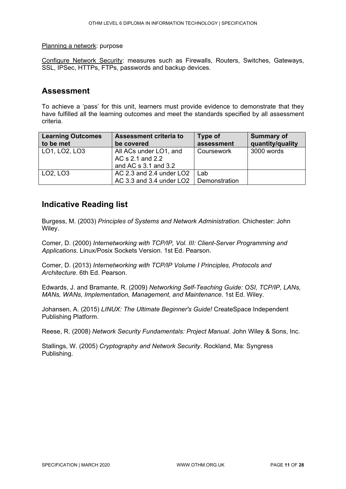#### Planning a network: purpose

Configure Network Security: measures such as Firewalls, Routers, Switches, Gateways, SSL, IPSec, HTTPs, FTPs, passwords and backup devices.

#### **Assessment**

To achieve a 'pass' for this unit, learners must provide evidence to demonstrate that they have fulfilled all the learning outcomes and meet the standards specified by all assessment criteria.

| <b>Learning Outcomes</b><br>to be met | Assessment criteria to<br>be covered                               | Type of<br>assessment | <b>Summary of</b><br>quantity/quality |
|---------------------------------------|--------------------------------------------------------------------|-----------------------|---------------------------------------|
| LO1, LO2, LO3                         | All ACs under LO1, and<br>AC s 2.1 and 2.2<br>and AC s 3.1 and 3.2 | Coursework            | 3000 words                            |
| LO <sub>2</sub> , LO <sub>3</sub>     | AC 2.3 and 2.4 under LO2                                           | Lab                   |                                       |
|                                       | AC 3.3 and 3.4 under LO2                                           | Demonstration         |                                       |

#### **Indicative Reading list**

Burgess, M. (2003) *Principles of Systems and Network Administration*. Chichester: John Wiley.

Comer, D. (2000) *Internetworking with TCP/IP, Vol. III: Client-Server Programming and Applications*. Linux/Posix Sockets Version. 1st Ed. Pearson.

Comer, D. (2013) *Internetworking with TCP/IP Volume I Principles, Protocols and Architecture*. 6th Ed. Pearson.

Edwards, J. and Bramante, R. (2009) *Networking Self-Teaching Guide: OSI, TCP/IP, LANs, MANs, WANs, Implementation, Management, and Maintenance*. 1st Ed. Wiley.

Johansen, A. (2015) *LINUX: The Ultimate Beginner's Guide!* CreateSpace Independent Publishing Platform.

Reese, R. (2008) *Network Security Fundamentals: Project Manual*. John Wiley & Sons, Inc.

Stallings, W. (2005) *Cryptography and Network Security*. Rockland, Ma: Syngress Publishing.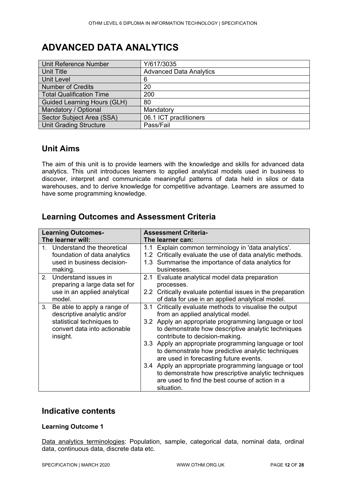## <span id="page-11-0"></span>**ADVANCED DATA ANALYTICS**

| Unit Reference Number              | Y/617/3035                     |
|------------------------------------|--------------------------------|
| <b>Unit Title</b>                  | <b>Advanced Data Analytics</b> |
| <b>Unit Level</b>                  | 6                              |
| <b>Number of Credits</b>           | 20                             |
| <b>Total Qualification Time</b>    | 200                            |
| <b>Guided Learning Hours (GLH)</b> | 80                             |
| Mandatory / Optional               | Mandatory                      |
| Sector Subject Area (SSA)          | 06.1 ICT practitioners         |
| <b>Unit Grading Structure</b>      | Pass/Fail                      |

#### **Unit Aims**

The aim of this unit is to provide learners with the knowledge and skills for advanced data analytics. This unit introduces learners to applied analytical models used in business to discover, interpret and communicate meaningful patterns of data held in silos or data warehouses, and to derive knowledge for competitive advantage. Learners are assumed to have some programming knowledge.

### **Learning Outcomes and Assessment Criteria**

|    | <b>Learning Outcomes-</b>                                             |                         | <b>Assessment Criteria-</b>                                                                                                                                                   |
|----|-----------------------------------------------------------------------|-------------------------|-------------------------------------------------------------------------------------------------------------------------------------------------------------------------------|
|    | The learner will:                                                     |                         | The learner can:                                                                                                                                                              |
| 1  | Understand the theoretical<br>foundation of data analytics            | 1.1<br>1.2 <sub>1</sub> | Explain common terminology in 'data analytics'.<br>Critically evaluate the use of data analytic methods.                                                                      |
|    | used in business decision-<br>making.                                 |                         | 1.3 Summarise the importance of data analytics for<br>businesses.                                                                                                             |
|    | 2. Understand issues in<br>preparing a large data set for             |                         | 2.1 Evaluate analytical model data preparation<br>processes.                                                                                                                  |
|    | use in an applied analytical<br>model.                                | 2.2                     | Critically evaluate potential issues in the preparation<br>of data for use in an applied analytical model.                                                                    |
| 3. | Be able to apply a range of<br>descriptive analytic and/or            | 3.1                     | Critically evaluate methods to visualise the output<br>from an applied analytical model.                                                                                      |
|    | statistical techniques to<br>convert data into actionable<br>insight. |                         | 3.2 Apply an appropriate programming language or tool<br>to demonstrate how descriptive analytic techniques<br>contribute to decision-making.                                 |
|    |                                                                       |                         | 3.3 Apply an appropriate programming language or tool<br>to demonstrate how predictive analytic techniques<br>are used in forecasting future events.                          |
|    |                                                                       |                         | 3.4 Apply an appropriate programming language or tool<br>to demonstrate how prescriptive analytic techniques<br>are used to find the best course of action in a<br>situation. |

#### **Indicative contents**

#### **Learning Outcome 1**

Data analytics terminologies: Population, sample, categorical data, nominal data, ordinal data, continuous data, discrete data etc.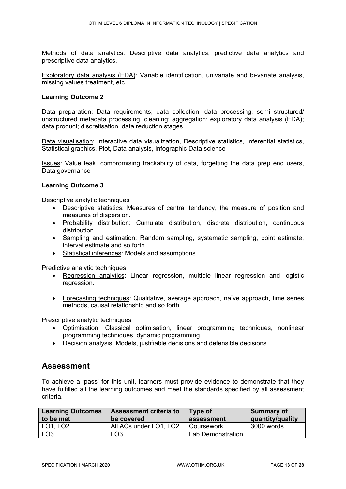Methods of data analytics: Descriptive data analytics, predictive data analytics and prescriptive data analytics.

Exploratory data analysis (EDA): Variable identification, univariate and bi-variate analysis, missing values treatment, etc.

#### **Learning Outcome 2**

Data preparation: Data requirements; data collection, data processing; semi structured/ unstructured metadata processing, cleaning; aggregation; exploratory data analysis (EDA); data product; discretisation, data reduction stages.

Data visualisation: Interactive data visualization, Descriptive statistics, Inferential statistics, Statistical graphics, Plot, Data analysis, Infographic Data science

Issues: Value leak, compromising trackability of data, forgetting the data prep end users, Data governance

#### **Learning Outcome 3**

Descriptive analytic techniques

- Descriptive statistics: Measures of central tendency, the measure of position and measures of dispersion.
- Probability distribution: Cumulate distribution, discrete distribution, continuous distribution.
- Sampling and estimation: Random sampling, systematic sampling, point estimate, interval estimate and so forth.
- Statistical inferences: Models and assumptions.

Predictive analytic techniques

- Regression analytics: Linear regression, multiple linear regression and logistic regression.
- Forecasting techniques: Qualitative, average approach, naïve approach, time series methods, causal relationship and so forth.

Prescriptive analytic techniques

- Optimisation: Classical optimisation, linear programming techniques, nonlinear programming techniques, dynamic programming.
- Decision analysis: Models, justifiable decisions and defensible decisions.

#### **Assessment**

To achieve a 'pass' for this unit, learners must provide evidence to demonstrate that they have fulfilled all the learning outcomes and meet the standards specified by all assessment criteria.

| <b>Learning Outcomes</b><br><b>Assessment criteria to</b> |                        | Type of           | Summary of       |
|-----------------------------------------------------------|------------------------|-------------------|------------------|
| to be met                                                 | be covered             | assessment        | quantity/quality |
| LO1, LO2                                                  | All ACs under LO1, LO2 | Coursework        | 3000 words       |
| LO <sub>3</sub>                                           | LO3                    | Lab Demonstration |                  |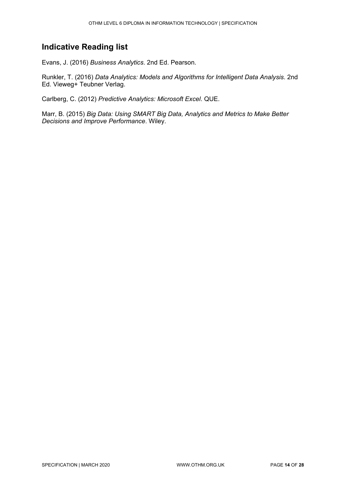### **Indicative Reading list**

Evans, J. (2016) *Business Analytics*. 2nd Ed. Pearson.

Runkler, T. (2016) *Data Analytics: Models and Algorithms for Intelligent Data Analysis*. 2nd Ed. Vieweg+ Teubner Verlag.

Carlberg, C. (2012) *Predictive Analytics: Microsoft Excel*. QUE.

Marr, B. (2015) *Big Data: Using SMART Big Data, Analytics and Metrics to Make Better Decisions and Improve Performance*. Wiley.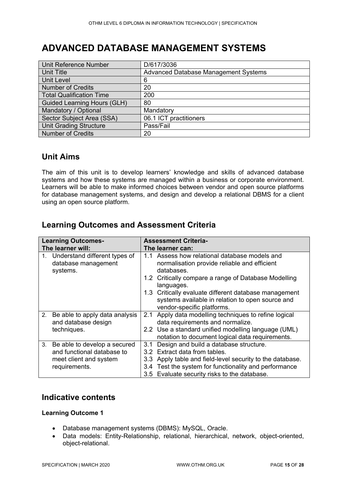## <span id="page-14-0"></span>**ADVANCED DATABASE MANAGEMENT SYSTEMS**

| <b>Unit Reference Number</b>       | D/617/3036                                  |
|------------------------------------|---------------------------------------------|
| Unit Title                         | <b>Advanced Database Management Systems</b> |
| <b>Unit Level</b>                  | 6                                           |
| <b>Number of Credits</b>           | 20                                          |
| <b>Total Qualification Time</b>    | 200                                         |
| <b>Guided Learning Hours (GLH)</b> | 80                                          |
| Mandatory / Optional               | Mandatory                                   |
| Sector Subject Area (SSA)          | 06.1 ICT practitioners                      |
| <b>Unit Grading Structure</b>      | Pass/Fail                                   |
| <b>Number of Credits</b>           | 20                                          |

#### **Unit Aims**

The aim of this unit is to develop learners' knowledge and skills of advanced database systems and how these systems are managed within a business or corporate environment. Learners will be able to make informed choices between vendor and open source platforms for database management systems, and design and develop a relational DBMS for a client using an open source platform.

### **Learning Outcomes and Assessment Criteria**

|    | <b>Learning Outcomes-</b>        |     | <b>Assessment Criteria-</b>                               |  |
|----|----------------------------------|-----|-----------------------------------------------------------|--|
|    | The learner will:                |     | The learner can:                                          |  |
|    | 1. Understand different types of |     | 1.1 Assess how relational database models and             |  |
|    | database management              |     | normalisation provide reliable and efficient              |  |
|    | systems.                         |     | databases.                                                |  |
|    |                                  |     | 1.2 Critically compare a range of Database Modelling      |  |
|    |                                  |     | languages.                                                |  |
|    |                                  |     | 1.3 Critically evaluate different database management     |  |
|    |                                  |     | systems available in relation to open source and          |  |
|    |                                  |     | vendor-specific platforms.                                |  |
| 2. | Be able to apply data analysis   | 2.1 | Apply data modelling techniques to refine logical         |  |
|    | and database design              |     | data requirements and normalize.                          |  |
|    | techniques.                      |     | 2.2 Use a standard unified modelling language (UML)       |  |
|    |                                  |     | notation to document logical data requirements.           |  |
| 3. | Be able to develop a secured     | 3.1 | Design and build a database structure.                    |  |
|    | and functional database to       |     | 3.2 Extract data from tables.                             |  |
|    | meet client and system           |     | 3.3 Apply table and field-level security to the database. |  |
|    | requirements.                    |     | 3.4 Test the system for functionality and performance     |  |
|    |                                  |     | 3.5 Evaluate security risks to the database.              |  |

#### **Indicative contents**

#### **Learning Outcome 1**

- Database management systems (DBMS): MySQL, Oracle.
- Data models: Entity-Relationship, relational, hierarchical, network, object-oriented, object-relational.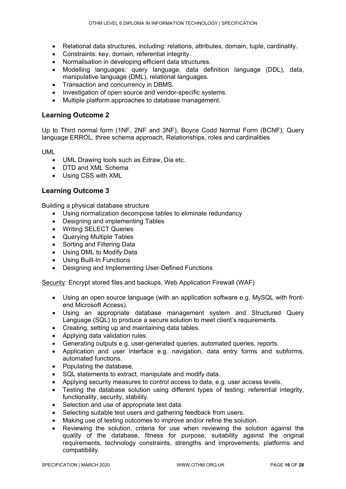- Relational data structures, including: relations, attributes, domain, tuple, cardinality.
- Constraints: key, domain, referential integrity.
- Normalisation in developing efficient data structures.
- Modelling languages: query language, data definition language (DDL), data, manipulative language (DML), relational languages.
- Transaction and concurrency in DBMS.
- Investigation of open source and vendor-specific systems.
- Multiple platform approaches to database management.

#### **Learning Outcome 2**

Up to Third normal form (1NF, 2NF and 3NF), Boyce Codd Normal Form (BCNF), Query language ERROL, three schema approach, Relationships, roles and cardinalities

UML

- UML Drawing tools such as Edraw, Dia etc.
- DTD and XML Schema
- Using CSS with XML

#### **Learning Outcome 3**

Building a physical database structure

- Using normalization decompose tables to eliminate redundancy
- Designing and implementing Tables
- Writing SELECT Queries
- Querying Multiple Tables
- Sorting and Filtering Data
- Using DML to Modify Data
- Using Built-In Functions
- Designing and Implementing User-Defined Functions

Security: Encrypt stored files and backups, Web Application Firewall (WAF)

- Using an open source language (with an application software e.g. MySQL with frontend Microsoft Access).
- Using an appropriate database management system and Structured Query Language (SQL) to produce a secure solution to meet client's requirements.
- Creating, setting up and maintaining data tables.
- Applying data validation rules.
- Generating outputs e.g. user-generated queries, automated queries, reports.
- Application and user interface e.g. navigation, data entry forms and subforms, automated functions.
- Populating the database.
- SQL statements to extract, manipulate and modify data.
- Applying security measures to control access to data, e.g. user access levels.
- Testing the database solution using different types of testing: referential integrity, functionality, security, stability.
- Selection and use of appropriate test data.
- Selecting suitable test users and gathering feedback from users.
- Making use of testing outcomes to improve and/or refine the solution.
- Reviewing the solution, criteria for use when reviewing the solution against the quality of the database, fitness for purpose, suitability against the original requirements, technology constraints, strengths and improvements, platforms and compatibility.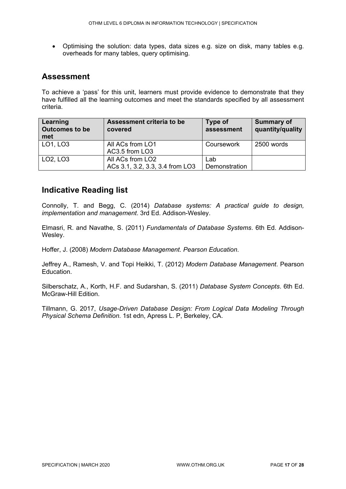• Optimising the solution: data types, data sizes e.g. size on disk, many tables e.g. overheads for many tables, query optimising.

#### **Assessment**

To achieve a 'pass' for this unit, learners must provide evidence to demonstrate that they have fulfilled all the learning outcomes and meet the standards specified by all assessment criteria.

| Assessment criteria to be<br>Learning<br><b>Outcomes to be</b><br>covered<br>met |                                 | Type of<br>assessment | <b>Summary of</b><br>quantity/quality |
|----------------------------------------------------------------------------------|---------------------------------|-----------------------|---------------------------------------|
| LO1, LO3                                                                         | All ACs from LO1                | Coursework            | 2500 words                            |
|                                                                                  | AC3.5 from LO3                  |                       |                                       |
| LO <sub>2</sub> , LO <sub>3</sub>                                                | All ACs from LO2                | Lab                   |                                       |
|                                                                                  | ACs 3.1, 3.2, 3.3, 3.4 from LO3 | Demonstration         |                                       |

### **Indicative Reading list**

Connolly, T. and Begg, C. (2014) *Database systems: A practical guide to design, implementation and management*. 3rd Ed. Addison-Wesley.

Elmasri, R. and Navathe, S. (2011) *Fundamentals of Database Systems*. 6th Ed. Addison-Wesley.

Hoffer, J. (2008) *Modern Database Management. Pearson Education*.

Jeffrey A., Ramesh, V. and Topi Heikki, T. (2012) *Modern Database Management*. Pearson Education.

Silberschatz, A., Korth, H.F. and Sudarshan, S. (2011) *Database System Concepts*. 6th Ed. McGraw-Hill Edition.

Tillmann, G. 2017, *Usage-Driven Database Design: From Logical Data Modeling Through Physical Schema Definition.* 1st edn, Apress L. P, Berkeley, CA.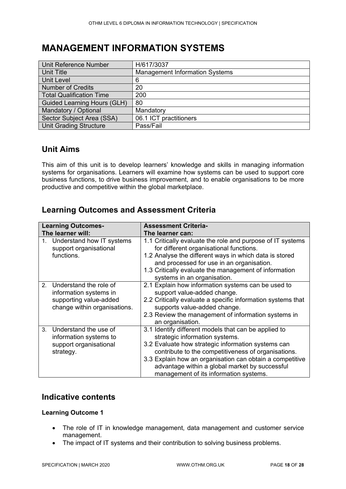## <span id="page-17-0"></span>**MANAGEMENT INFORMATION SYSTEMS**

| Unit Reference Number              | H/617/3037                            |
|------------------------------------|---------------------------------------|
| Unit Title                         | <b>Management Information Systems</b> |
| <b>Unit Level</b>                  | 6                                     |
| <b>Number of Credits</b>           | 20                                    |
| <b>Total Qualification Time</b>    | 200                                   |
| <b>Guided Learning Hours (GLH)</b> | 80                                    |
| Mandatory / Optional               | Mandatory                             |
| Sector Subject Area (SSA)          | 06.1 ICT practitioners                |
| <b>Unit Grading Structure</b>      | Pass/Fail                             |

### **Unit Aims**

This aim of this unit is to develop learners' knowledge and skills in managing information systems for organisations. Learners will examine how systems can be used to support core business functions, to drive business improvement, and to enable organisations to be more productive and competitive within the global marketplace.

### **Learning Outcomes and Assessment Criteria**

|    | <b>Learning Outcomes-</b>                                                                                     | <b>Assessment Criteria-</b>                                                                                                                                                                                                                                                                                                                                 |
|----|---------------------------------------------------------------------------------------------------------------|-------------------------------------------------------------------------------------------------------------------------------------------------------------------------------------------------------------------------------------------------------------------------------------------------------------------------------------------------------------|
|    | The learner will:                                                                                             | The learner can:                                                                                                                                                                                                                                                                                                                                            |
|    | 1. Understand how IT systems<br>support organisational<br>functions.                                          | 1.1 Critically evaluate the role and purpose of IT systems<br>for different organisational functions.<br>1.2 Analyse the different ways in which data is stored<br>and processed for use in an organisation.<br>1.3 Critically evaluate the management of information<br>systems in an organisation.                                                        |
|    | 2. Understand the role of<br>information systems in<br>supporting value-added<br>change within organisations. | 2.1 Explain how information systems can be used to<br>support value-added change.<br>2.2 Critically evaluate a specific information systems that<br>supports value-added change.<br>2.3 Review the management of information systems in<br>an organisation.                                                                                                 |
| 3. | Understand the use of<br>information systems to<br>support organisational<br>strategy.                        | 3.1 Identify different models that can be applied to<br>strategic information systems.<br>3.2 Evaluate how strategic information systems can<br>contribute to the competitiveness of organisations.<br>3.3 Explain how an organisation can obtain a competitive<br>advantage within a global market by successful<br>management of its information systems. |

#### **Indicative contents**

#### **Learning Outcome 1**

- The role of IT in knowledge management, data management and customer service management.
- The impact of IT systems and their contribution to solving business problems.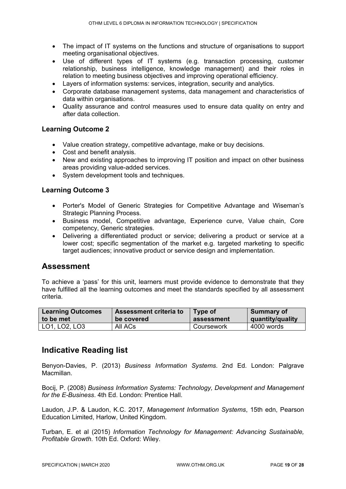- The impact of IT systems on the functions and structure of organisations to support meeting organisational objectives.
- Use of different types of IT systems (e.g. transaction processing, customer relationship, business intelligence, knowledge management) and their roles in relation to meeting business objectives and improving operational efficiency.
- Layers of information systems: services, integration, security and analytics.
- Corporate database management systems, data management and characteristics of data within organisations.
- Quality assurance and control measures used to ensure data quality on entry and after data collection.

#### **Learning Outcome 2**

- Value creation strategy, competitive advantage, make or buy decisions.
- Cost and benefit analysis.
- New and existing approaches to improving IT position and impact on other business areas providing value-added services.
- System development tools and techniques.

#### **Learning Outcome 3**

- Porter's Model of Generic Strategies for Competitive Advantage and Wiseman's Strategic Planning Process.
- Business model, Competitive advantage, Experience curve, Value chain, Core competency, Generic strategies.
- Delivering a differentiated product or service; delivering a product or service at a lower cost; specific segmentation of the market e.g. targeted marketing to specific target audiences; innovative product or service design and implementation.

#### **Assessment**

To achieve a 'pass' for this unit, learners must provide evidence to demonstrate that they have fulfilled all the learning outcomes and meet the standards specified by all assessment criteria.

| <b>Learning Outcomes</b> | Assessment criteria to | <b>Type of</b> | Summary of       |
|--------------------------|------------------------|----------------|------------------|
| to be met                | be covered             | assessment     | quantity/quality |
| LO1, LO2, LO3            | All ACs                | Coursework     | 4000 words       |

#### **Indicative Reading list**

Benyon-Davies, P. (2013) *Business Information Systems*. 2nd Ed. London: Palgrave Macmillan.

Bocij, P. (2008) *Business Information Systems: Technology, Development and Management for the E-Business*. 4th Ed. London: Prentice Hall.

Laudon, J.P. & Laudon, K.C. 2017, *Management Information Systems*, 15th edn, Pearson Education Limited, Harlow, United Kingdom.

Turban, E. et al (2015) *Information Technology for Management: Advancing Sustainable, Profitable Growth*. 10th Ed. Oxford: Wiley.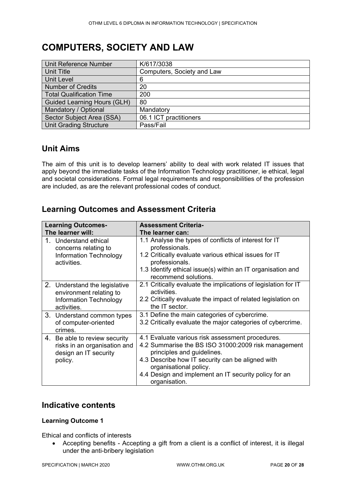## <span id="page-19-0"></span>**COMPUTERS, SOCIETY AND LAW**

| Unit Reference Number              | K/617/3038                 |
|------------------------------------|----------------------------|
| <b>Unit Title</b>                  | Computers, Society and Law |
| <b>Unit Level</b>                  | 6                          |
| <b>Number of Credits</b>           | 20                         |
| <b>Total Qualification Time</b>    | 200                        |
| <b>Guided Learning Hours (GLH)</b> | 80                         |
| Mandatory / Optional               | Mandatory                  |
| Sector Subject Area (SSA)          | 06.1 ICT practitioners     |
| <b>Unit Grading Structure</b>      | Pass/Fail                  |

### **Unit Aims**

The aim of this unit is to develop learners' ability to deal with work related IT issues that apply beyond the immediate tasks of the Information Technology practitioner, ie ethical, legal and societal considerations. Formal legal requirements and responsibilities of the profession are included, as are the relevant professional codes of conduct.

### **Learning Outcomes and Assessment Criteria**

| <b>Learning Outcomes-</b>                                                                                | <b>Assessment Criteria-</b>                                                                                                                                                                                                                                                                   |
|----------------------------------------------------------------------------------------------------------|-----------------------------------------------------------------------------------------------------------------------------------------------------------------------------------------------------------------------------------------------------------------------------------------------|
| The learner will:                                                                                        | The learner can:                                                                                                                                                                                                                                                                              |
| Understand ethical<br>concerns relating to<br><b>Information Technology</b><br>activities.               | 1.1 Analyse the types of conflicts of interest for IT<br>professionals.<br>1.2 Critically evaluate various ethical issues for IT<br>professionals.<br>1.3 Identify ethical issue(s) within an IT organisation and<br>recommend solutions.                                                     |
| 2. Understand the legislative<br>environment relating to<br><b>Information Technology</b><br>activities. | 2.1 Critically evaluate the implications of legislation for IT<br>activities.<br>2.2 Critically evaluate the impact of related legislation on<br>the IT sector.                                                                                                                               |
| 3. Understand common types<br>of computer-oriented<br>crimes.                                            | 3.1 Define the main categories of cybercrime.<br>3.2 Critically evaluate the major categories of cybercrime.                                                                                                                                                                                  |
| 4. Be able to review security<br>risks in an organisation and<br>design an IT security<br>policy.        | 4.1 Evaluate various risk assessment procedures.<br>4.2 Summarise the BS ISO 31000:2009 risk management<br>principles and guidelines.<br>4.3 Describe how IT security can be aligned with<br>organisational policy.<br>4.4 Design and implement an IT security policy for an<br>organisation. |

#### **Indicative contents**

#### **Learning Outcome 1**

Ethical and conflicts of interests

• Accepting benefits - Accepting a gift from a client is a conflict of interest, it is illegal under the anti-bribery legislation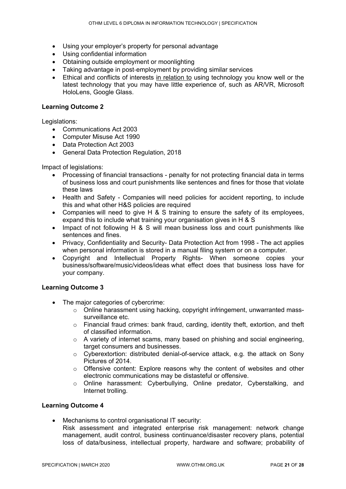- Using your employer's property for personal advantage
- Using confidential information
- Obtaining outside employment or moonlighting
- Taking advantage in post‐employment by providing similar services
- Ethical and conflicts of interests in relation to using technology you know well or the latest technology that you may have little experience of, such as AR/VR, Microsoft HoloLens, Google Glass.

#### **Learning Outcome 2**

Legislations:

- Communications Act 2003
- Computer Misuse Act 1990
- Data Protection Act 2003
- General Data Protection Regulation, 2018

Impact of legislations:

- Processing of financial transactions penalty for not protecting financial data in terms of business loss and court punishments like sentences and fines for those that violate these laws
- Health and Safety Companies will need policies for accident reporting, to include this and what other H&S policies are required
- Companies will need to give H & S training to ensure the safety of its employees, expand this to include what training your organisation gives in H & S
- Impact of not following H & S will mean business loss and court punishments like sentences and fines.
- Privacy, Confidentiality and Security- Data Protection Act from 1998 The act applies when personal information is stored in a manual filing system or on a computer.
- Copyright and Intellectual Property Rights- When someone copies your business/software/music/videos/ideas what effect does that business loss have for your company.

#### **Learning Outcome 3**

- The major categories of cybercrime:
	- $\circ$  Online harassment using hacking, copyright infringement, unwarranted masssurveillance etc.
	- o Financial fraud crimes: bank fraud, carding, identity theft, extortion, and theft of classified information.
	- o A variety of internet scams, many based on phishing and social engineering, target consumers and businesses.
	- $\circ$  Cyberextortion: distributed denial-of-service attack, e.g. the attack on Sony Pictures of 2014.
	- $\circ$  Offensive content: Explore reasons why the content of websites and other electronic communications may be distasteful or offensive.
	- o Online harassment: Cyberbullying, Online predator, Cyberstalking, and Internet trolling.

#### **Learning Outcome 4**

• Mechanisms to control organisational IT security: Risk assessment and integrated enterprise risk management: network change management, audit control, business continuance/disaster recovery plans, potential loss of data/business, intellectual property, hardware and software; probability of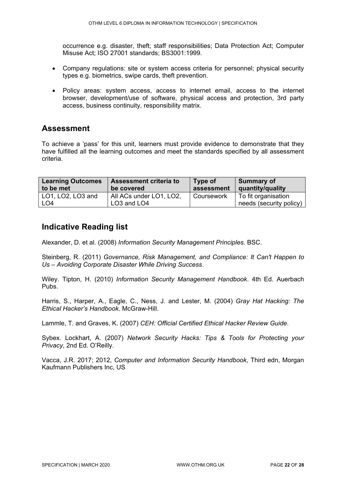occurrence e.g. disaster, theft; staff responsibilities; Data Protection Act; Computer Misuse Act; ISO 27001 standards; BS3001:1999.

- Company regulations: site or system access criteria for personnel; physical security types e.g. biometrics, swipe cards, theft prevention.
- Policy areas: system access, access to internet email, access to the internet browser, development/use of software, physical access and protection, 3rd party access, business continuity, responsibility matrix.

#### **Assessment**

To achieve a 'pass' for this unit, learners must provide evidence to demonstrate that they have fulfilled all the learning outcomes and meet the standards specified by all assessment criteria.

| <b>Learning Outcomes</b> | <b>Assessment criteria to</b>       | Type of           | Summary of              |
|--------------------------|-------------------------------------|-------------------|-------------------------|
| to be met                | be covered                          | assessment        | quantity/quality        |
| LO1, LO2, LO3 and        | All ACs under LO1, LO2,             | <b>Coursework</b> | To fit organisation     |
| LO4                      | LO <sub>3</sub> and LO <sub>4</sub> |                   | needs (security policy) |

#### **Indicative Reading list**

Alexander, D. et al. (2008) *Information Security Management Principles*. BSC.

Steinberg, R. (2011) *Governance, Risk Management, and Compliance: It Can't Happen to Us – Avoiding Corporate Disaster While Driving Success*.

Wiley. Tipton, H. (2010) *Information Security Management Handbook*. 4th Ed. Auerbach Pubs.

Harris, S., Harper, A., Eagle, C., Ness, J. and Lester, M. (2004) *Gray Hat Hacking: The Ethical Hacker's Handbook*. McGraw-Hill.

Lammle, T. and Graves, K. (2007) *CEH: Official Certified Ethical Hacker Review Guide*.

Sybex. Lockhart, A. (2007) *Network Security Hacks: Tips & Tools for Protecting your Privacy*, 2nd Ed. O'Reilly.

Vacca, J.R. 2017; 2012, *Computer and Information Security Handbook*, Third edn, Morgan Kaufmann Publishers Inc, US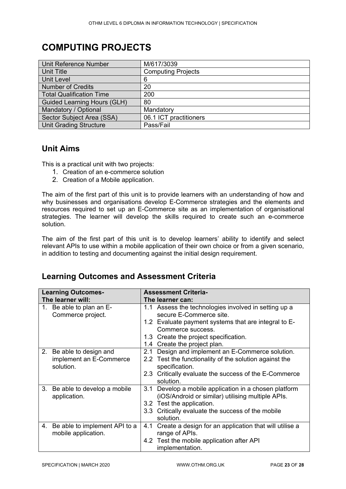## <span id="page-22-0"></span>**COMPUTING PROJECTS**

| <b>Unit Reference Number</b>       | M/617/3039                |
|------------------------------------|---------------------------|
| <b>Unit Title</b>                  | <b>Computing Projects</b> |
| <b>Unit Level</b>                  | 6                         |
| <b>Number of Credits</b>           | 20                        |
| <b>Total Qualification Time</b>    | 200                       |
| <b>Guided Learning Hours (GLH)</b> | 80                        |
| Mandatory / Optional               | Mandatory                 |
| Sector Subject Area (SSA)          | 06.1 ICT practitioners    |
| <b>Unit Grading Structure</b>      | Pass/Fail                 |

#### **Unit Aims**

This is a practical unit with two projects:

- 1. Creation of an e-commerce solution
- 2. Creation of a Mobile application.

The aim of the first part of this unit is to provide learners with an understanding of how and why businesses and organisations develop E-Commerce strategies and the elements and resources required to set up an E-Commerce site as an implementation of organisational strategies. The learner will develop the skills required to create such an e-commerce solution.

The aim of the first part of this unit is to develop learners' ability to identify and select relevant APIs to use within a mobile application of their own choice or from a given scenario, in addition to testing and documenting against the initial design requirement.

### **Learning Outcomes and Assessment Criteria**

| <b>Learning Outcomes-</b>                                        | <b>Assessment Criteria-</b>                                                                                                                                                                                                           |  |  |
|------------------------------------------------------------------|---------------------------------------------------------------------------------------------------------------------------------------------------------------------------------------------------------------------------------------|--|--|
| The learner will:                                                | The learner can:                                                                                                                                                                                                                      |  |  |
| 1. Be able to plan an E-<br>Commerce project.                    | 1.1 Assess the technologies involved in setting up a<br>secure E-Commerce site.<br>1.2 Evaluate payment systems that are integral to E-<br>Commerce success.<br>1.3 Create the project specification.<br>1.4 Create the project plan. |  |  |
| 2. Be able to design and<br>implement an E-Commerce<br>solution. | Design and implement an E-Commerce solution.<br>2.1<br>2.2 Test the functionality of the solution against the<br>specification.<br>2.3 Critically evaluate the success of the E-Commerce<br>solution.                                 |  |  |
| 3.<br>Be able to develop a mobile<br>application.                | Develop a mobile application in a chosen platform<br>3.1<br>(iOS/Android or similar) utilising multiple APIs.<br>3.2 Test the application.<br>3.3 Critically evaluate the success of the mobile<br>solution.                          |  |  |
| 4. Be able to implement API to a<br>mobile application.          | Create a design for an application that will utilise a<br>4.1<br>range of APIs.<br>4.2 Test the mobile application after API<br>implementation.                                                                                       |  |  |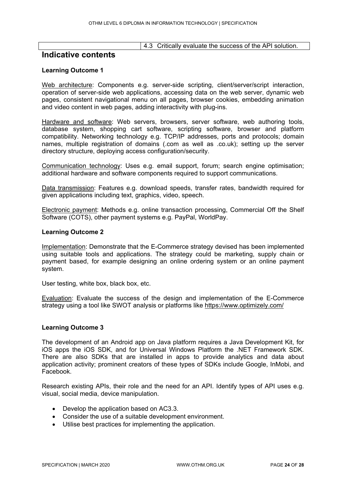4.3 Critically evaluate the success of the API solution.

#### **Indicative contents**

#### **Learning Outcome 1**

Web architecture: Components e.g. server-side scripting, client/server/script interaction, operation of server-side web applications, accessing data on the web server, dynamic web pages, consistent navigational menu on all pages, browser cookies, embedding animation and video content in web pages, adding interactivity with plug-ins.

Hardware and software: Web servers, browsers, server software, web authoring tools, database system, shopping cart software, scripting software, browser and platform compatibility. Networking technology e.g. TCP/IP addresses, ports and protocols; domain names, multiple registration of domains (.com as well as .co.uk); setting up the server directory structure, deploying access configuration/security.

Communication technology: Uses e.g. email support, forum; search engine optimisation; additional hardware and software components required to support communications.

Data transmission: Features e.g. download speeds, transfer rates, bandwidth required for given applications including text, graphics, video, speech.

Electronic payment: Methods e.g. online transaction processing, Commercial Off the Shelf Software (COTS), other payment systems e.g. PayPal, WorldPay.

#### **Learning Outcome 2**

Implementation: Demonstrate that the E-Commerce strategy devised has been implemented using suitable tools and applications. The strategy could be marketing, supply chain or payment based, for example designing an online ordering system or an online payment system.

User testing, white box, black box, etc.

Evaluation: Evaluate the success of the design and implementation of the E-Commerce strategy using a tool like SWOT analysis or platforms like<https://www.optimizely.com/>

#### **Learning Outcome 3**

The development of an Android app on Java platform requires a Java Development Kit, for iOS apps the iOS SDK, and for Universal Windows Platform the .NET Framework SDK. There are also SDKs that are installed in apps to provide analytics and data about application activity; prominent creators of these types of SDKs include Google, InMobi, and Facebook.

Research existing APIs, their role and the need for an API. Identify types of API uses e.g. visual, social media, device manipulation.

- Develop the application based on AC3.3.
- Consider the use of a suitable development environment.
- Utilise best practices for implementing the application.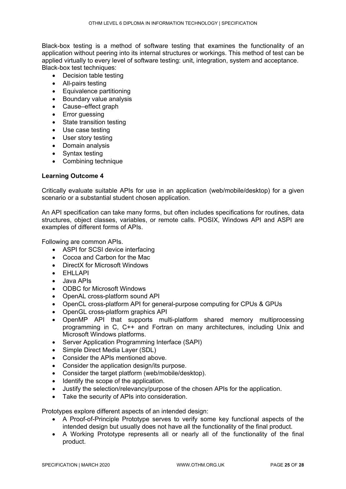Black-box testing is a method of software testing that examines the functionality of an application without peering into its internal structures or workings. This method of test can be applied virtually to every level of software testing: unit, integration, system and acceptance. Black-box test techniques:

- Decision table testing
- All-pairs testing
- Equivalence partitioning
- Boundary value analysis
- Cause–effect graph
- Error guessing
- State transition testing
- Use case testing
- User story testing
- Domain analysis
- Syntax testing
- Combining technique

#### **Learning Outcome 4**

Critically evaluate suitable APIs for use in an application (web/mobile/desktop) for a given scenario or a substantial student chosen application.

An API specification can take many forms, but often includes specifications for routines, data structures, object classes, variables, or remote calls. POSIX, Windows API and ASPI are examples of different forms of APIs.

Following are common APIs.

- ASPI for SCSI device interfacing
- Cocoa and Carbon for the Mac
- DirectX for Microsoft Windows
- EHLLAPI
- Java APIs
- ODBC for Microsoft Windows
- OpenAL cross-platform sound API
- OpenCL cross-platform API for general-purpose computing for CPUs & GPUs
- OpenGL cross-platform graphics API
- OpenMP API that supports multi-platform shared memory multiprocessing programming in C, C++ and Fortran on many architectures, including Unix and Microsoft Windows platforms.
- Server Application Programming Interface (SAPI)
- Simple Direct Media Layer (SDL)
- Consider the APIs mentioned above.
- Consider the application design/its purpose.
- Consider the target platform (web/mobile/desktop).
- Identify the scope of the application.
- Justify the selection/relevancy/purpose of the chosen APIs for the application.
- Take the security of APIs into consideration.

Prototypes explore different aspects of an intended design:

- A Proof-of-Principle Prototype serves to verify some key functional aspects of the intended design but usually does not have all the functionality of the final product.
- A Working Prototype represents all or nearly all of the functionality of the final product.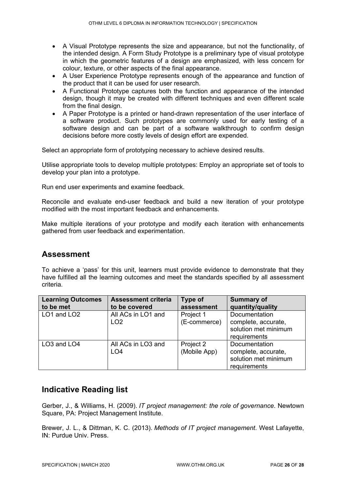- A Visual Prototype represents the size and appearance, but not the functionality, of the intended design. A Form Study Prototype is a preliminary type of visual prototype in which the geometric features of a design are emphasized, with less concern for colour, texture, or other aspects of the final appearance.
- A User Experience Prototype represents enough of the appearance and function of the product that it can be used for user research.
- A Functional Prototype captures both the function and appearance of the intended design, though it may be created with different techniques and even different scale from the final design.
- A Paper Prototype is a printed or hand-drawn representation of the user interface of a software product. Such prototypes are commonly used for early testing of a software design and can be part of a software walkthrough to confirm design decisions before more costly levels of design effort are expended.

Select an appropriate form of prototyping necessary to achieve desired results.

Utilise appropriate tools to develop multiple prototypes: Employ an appropriate set of tools to develop your plan into a prototype.

Run end user experiments and examine feedback.

Reconcile and evaluate end-user feedback and build a new iteration of your prototype modified with the most important feedback and enhancements.

Make multiple iterations of your prototype and modify each iteration with enhancements gathered from user feedback and experimentation.

#### **Assessment**

To achieve a 'pass' for this unit, learners must provide evidence to demonstrate that they have fulfilled all the learning outcomes and meet the standards specified by all assessment criteria.

| <b>Learning Outcomes</b>            | <b>Assessment criteria</b>            | Type of                   | <b>Summary of</b>                                                            |
|-------------------------------------|---------------------------------------|---------------------------|------------------------------------------------------------------------------|
| to be met                           | to be covered                         | assessment                | quantity/quality                                                             |
| LO1 and LO2                         | All ACs in LO1 and<br>LO <sub>2</sub> | Project 1<br>(E-commerce) | Documentation<br>complete, accurate,<br>solution met minimum<br>requirements |
| LO <sub>3</sub> and LO <sub>4</sub> | All ACs in LO3 and<br>LO <sub>4</sub> | Project 2<br>(Mobile App) | Documentation<br>complete, accurate,<br>solution met minimum<br>requirements |

#### **Indicative Reading list**

Gerber, J., & Williams, H. (2009). *IT project management: the role of governance*. Newtown Square, PA: Project Management Institute.

Brewer, J. L., & Dittman, K. C. (2013). *Methods of IT project management*. West Lafayette, IN: Purdue Univ. Press.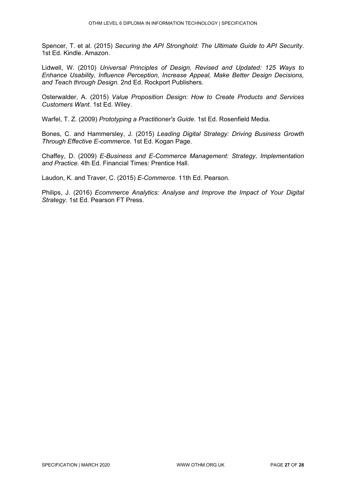Spencer, T. et al. (2015) *Securing the API Stronghold: The Ultimate Guide to API Security*. 1st Ed. Kindle. Amazon.

Lidwell, W. (2010) *Universal Principles of Design, Revised and Updated: 125 Ways to Enhance Usability, Influence Perception, Increase Appeal, Make Better Design Decisions, and Teach through Design*. 2nd Ed. Rockport Publishers.

Osterwalder, A. (2015) *Value Proposition Design: How to Create Products and Services Customers Want*. 1st Ed. Wiley.

Warfel, T. Z. (2009) *Prototyping a Practitioner's Guide*. 1st Ed. Rosenfield Media.

Bones, C. and Hammersley, J. (2015) *Leading Digital Strategy: Driving Business Growth Through Effective E-commerce*. 1st Ed. Kogan Page.

Chaffey, D. (2009) *E-Business and E-Commerce Management: Strategy, Implementation and Practice*. 4th Ed. Financial Times: Prentice Hall.

Laudon, K. and Traver, C. (2015) *E-Commerce*. 11th Ed. Pearson.

Philips, J. (2016) *Ecommerce Analytics: Analyse and Improve the Impact of Your Digital Strategy*. 1st Ed. Pearson FT Press.